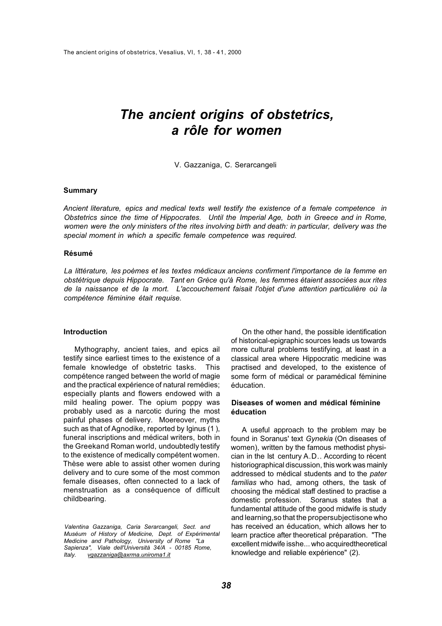# *The ancient origins of obstetrics, a rôle for women*

V. Gazzaniga, C. Serarcangeli

# **Summary**

*Ancient literature, epics and medical texts well testify the existence of a female competence in Obstetrics since the time of Hippocrates. Until the Imperial Age, both in Greece and in Rome, women were the only ministers of the rites involving birth and death: in particular, delivery was the special moment in which a specific female competence was required.* 

## **Résumé**

*La littérature, les poèmes et les textes médicaux anciens confirment l'importance de la femme en obstétrique depuis Hippocrate. Tant en Grèce qu'à Rome, les femmes étaient associées aux rites de la naissance et de la mort. L'accouchement faisait l'objet d'une attention particulière où la compétence féminine était requise.* 

## **Introduction**

Mythography, ancient taies, and epics ail testify since earliest times to the existence of a female knowledge of obstetric tasks. This compétence ranged between the world of magie and the practical expérience of natural remédies; especially plants and flowers endowed with a mild healing power. The opium poppy was probably used as a narcotic during the most painful phases of delivery. Moereover, myths such as that of Agnodike, reported by Iginus (1). funeral inscriptions and médical writers, both in the Greekand Roman world, undoubtedly testify to the existence of medically compétent women. Thèse were able to assist other women during delivery and to cure some of the most common female diseases, often connected to a lack of menstruation as a conséquence of difficult childbearing.

*Valentina Gazzaniga, Caria Serarcangeli, Sect. and Muséum of History of Medicine, Dept. of Expérimental Medicine and Pathology, University of Rome "La Sapienza", Viale dell'Università 34/A* - *00185 Rome, Italy. vgazzaniga@axrma.uniroma1.it* 

On the other hand, the possible identification of historical-epigraphic sources leads us towards more cultural problems testifying, at least in a classical area where Hippocratic medicine was practised and developed, to the existence of some form of médical or paramédical féminine éducation.

# **Diseases of women and médical féminine éducation**

A useful approach to the problem may be found in Soranus' text *Gynekia* (On diseases of women), written by the famous methodist physician in the Ist century A.D.. According to récent historiographical discussion, this work was mainly addressed to médical students and to the *pater familias* who had, among others, the task of choosing the médical staff destined to practise a domestic profession. Soranus states that a fundamental attitude of the good midwife is study and learning,so that the propersubjectisone who has received an éducation, which allows her to learn practice after theoretical préparation. "The excellent midwife isshe... who acquiredtheoretical knowledge and reliable expérience" (2).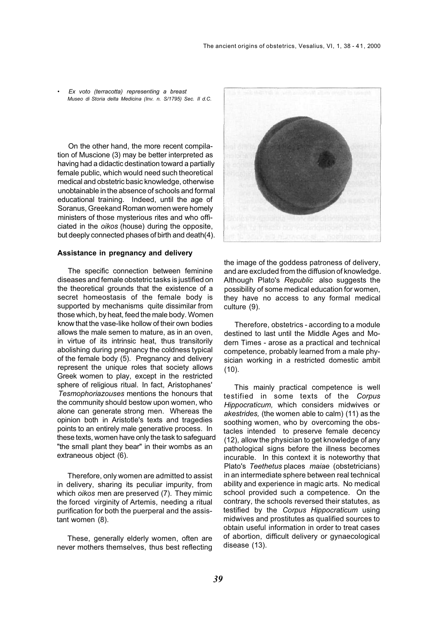• *Ex voto (terracotta) representing a breast Museo di Storia delta Medicina (Inv. n. S/1795) Sec. II d.C.* 

On the other hand, the more recent compilation of Muscione (3) may be better interpreted as having had a didactic destination toward a partially female public, which would need such theoretical medical and obstetric basic knowledge, otherwise unobtainable in the absence of schools and formal educational training. Indeed, until the age of Soranus, Greekand Roman women were homely ministers of those mysterious rites and who officiated in the *oikos* (house) during the opposite, but deeply connected phases of birth and death(4).

#### **Assistance in pregnancy and delivery**

The specific connection between feminine diseases and female obstetric tasks is justified on the theoretical grounds that the existence of a secret homeostasis of the female body is supported by mechanisms quite dissimilar from those which, by heat, feed the male body. Women know that the vase-like hollow of their own bodies allows the male semen to mature, as in an oven, in virtue of its intrinsic heat, thus transitorily abolishing during pregnancy the coldness typical of the female body (5). Pregnancy and delivery represent the unique roles that society allows Greek women to play, except in the restricted sphere of religious ritual. In fact, Aristophanes' *Tesmophoriazouses* mentions the honours that the community should bestow upon women, who alone can generate strong men. Whereas the opinion both in Aristotle's texts and tragedies points to an entirely male generative process. In these texts, women have only the task to safeguard "the small plant they bear" in their wombs as an extraneous object (6).

Therefore, only women are admitted to assist in delivery, sharing its peculiar impurity, from which *oikos* men are preserved (7). They mimic the forced virginity of Artemis, needing a ritual purification for both the puerperal and the assistant women (8).

These, generally elderly women, often are never mothers themselves, thus best reflecting



the image of the goddess patroness of delivery, and are excluded from the diffusion of knowledge. Although Plato's *Republic* also suggests the possibility of some medical education for women, they have no access to any formal medical culture (9).

Therefore, obstetrics - according to a module destined to last until the Middle Ages and Modern Times - arose as a practical and technical competence, probably learned from a male physician working in a restricted domestic ambit (10).

This mainly practical competence is well testified in some texts of the *Corpus Hippocraticum,* which considers midwives or *akestrides,* (the women able to calm) (11) as the soothing women, who by overcoming the obstacles intended to preserve female decency (12), allow the physician to get knowledge of any pathological signs before the illness becomes incurable. In this context it is noteworthy that Plato's *Teethetus* places *maiae* (obstetricians) in an intermediate sphere between real technical ability and experience in magic arts. No medical school provided such a competence. On the contrary, the schools reversed their statutes, as testified by the *Corpus Hippocraticum* using midwives and prostitutes as qualified sources to obtain useful information in order to treat cases of abortion, difficult delivery or gynaecological disease (13).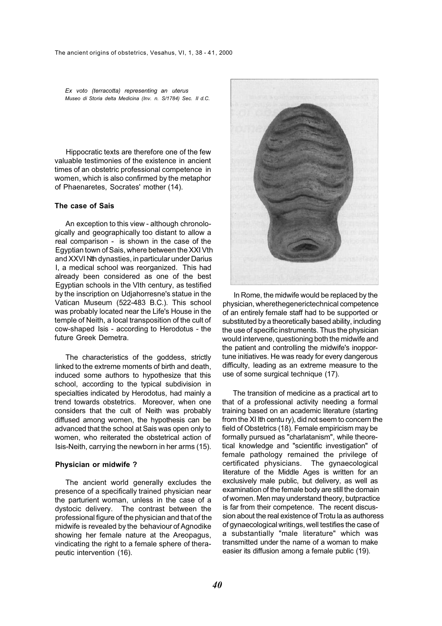*Ex voto (terracotta) representing an uterus Museo di Storia delta Medicina (Inv. n. S/1784) Sec. II d.C.* 

Hippocratic texts are therefore one of the few valuable testimonies of the existence in ancient times of an obstetric professional competence in women, which is also confirmed by the metaphor of Phaenaretes, Socrates' mother (14).

## **The case of Sais**

An exception to this view - although chronologically and geographically too distant to allow a real comparison - is shown in the case of the Egyptian town of Sais, where between the XXI Vth and XXVI Nth dynasties, in particular under Darius I, a medical school was reorganized. This had already been considered as one of the best Egyptian schools in the Vlth century, as testified by the inscription on Udjahorresne's statue in the Vatican Museum (522-483 B.C.). This school was probably located near the Life's House in the temple of Neith, a local transposition of the cult of cow-shaped Isis - according to Herodotus - the future Greek Demetra.

The characteristics of the goddess, strictly linked to the extreme moments of birth and death, induced some authors to hypothesize that this school, according to the typical subdivision in specialties indicated by Herodotus, had mainly a trend towards obstetrics. Moreover, when one considers that the cult of Neith was probably diffused among women, the hypothesis can be advanced that the school at Sais was open only to women, who reiterated the obstetrical action of Isis-Neith, carrying the newborn in her arms (15).

#### **Physician or midwife ?**

The ancient world generally excludes the presence of a specifically trained physician near the parturient woman, unless in the case of a dystocic delivery. The contrast between the professional figure of the physician and that of the midwife is revealed by the behaviour of Agnodike showing her female nature at the Areopagus, vindicating the right to a female sphere of therapeutic intervention (16).



In Rome, the midwife would be replaced by the physician, wherethegenerictechnical competence of an entirely female staff had to be supported or substituted by a theoretically based ability, including the use of specific instruments. Thus the physician would intervene, questioning both the midwife and the patient and controlling the midwife's inopportune initiatives. He was ready for every dangerous difficulty, leading as an extreme measure to the use of some surgical technique (17).

The transition of medicine as a practical art to that of a professional activity needing a formal training based on an academic literature (starting from the XI Ith centu ry), did not seem to concern the field of Obstetrics (18). Female empiricism may be formally pursued as "charlatanism", while theoretical knowledge and "scientific investigation" of female pathology remained the privilege of certificated physicians. The gynaecological literature of the Middle Ages is written for an exclusively male public, but delivery, as well as examination of the female body are still the domain of women. Men may understand theory, butpractice is far from their competence. The recent discussion about the real existence of Trotu la as authoress of gynaecological writings, well testifies the case of a substantially "male literature" which was transmitted under the name of a woman to make easier its diffusion among a female public (19).